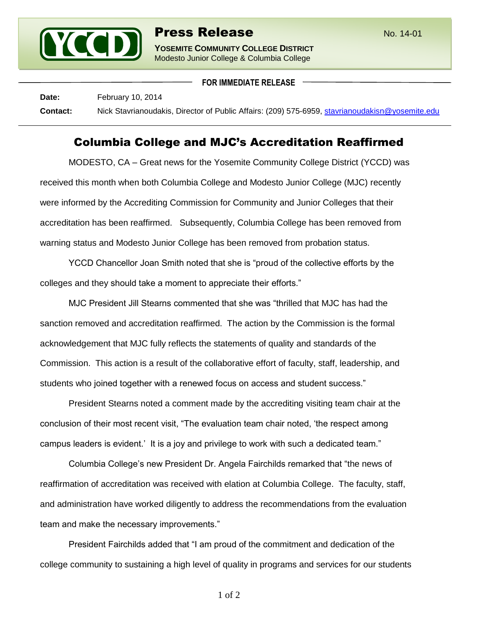

**FOR IMMEDIATE RELEASE**

Date: February 10, 2014 **Contact:** Nick Stavrianoudakis, Director of Public Affairs: (209) 575-6959, [stavrianoudakisn@yosemite.edu](mailto:stavrianoudakisn@yosemite.edu)

## Columbia College and MJC's Accreditation Reaffirmed

MODESTO, CA – Great news for the Yosemite Community College District (YCCD) was received this month when both Columbia College and Modesto Junior College (MJC) recently were informed by the Accrediting Commission for Community and Junior Colleges that their accreditation has been reaffirmed. Subsequently, Columbia College has been removed from warning status and Modesto Junior College has been removed from probation status.

YCCD Chancellor Joan Smith noted that she is "proud of the collective efforts by the colleges and they should take a moment to appreciate their efforts."

MJC President Jill Stearns commented that she was "thrilled that MJC has had the sanction removed and accreditation reaffirmed. The action by the Commission is the formal acknowledgement that MJC fully reflects the statements of quality and standards of the Commission. This action is a result of the collaborative effort of faculty, staff, leadership, and students who joined together with a renewed focus on access and student success."

President Stearns noted a comment made by the accrediting visiting team chair at the conclusion of their most recent visit, "The evaluation team chair noted, 'the respect among campus leaders is evident.' It is a joy and privilege to work with such a dedicated team."

Columbia College's new President Dr. Angela Fairchilds remarked that "the news of reaffirmation of accreditation was received with elation at Columbia College. The faculty, staff, and administration have worked diligently to address the recommendations from the evaluation team and make the necessary improvements."

President Fairchilds added that "I am proud of the commitment and dedication of the college community to sustaining a high level of quality in programs and services for our students